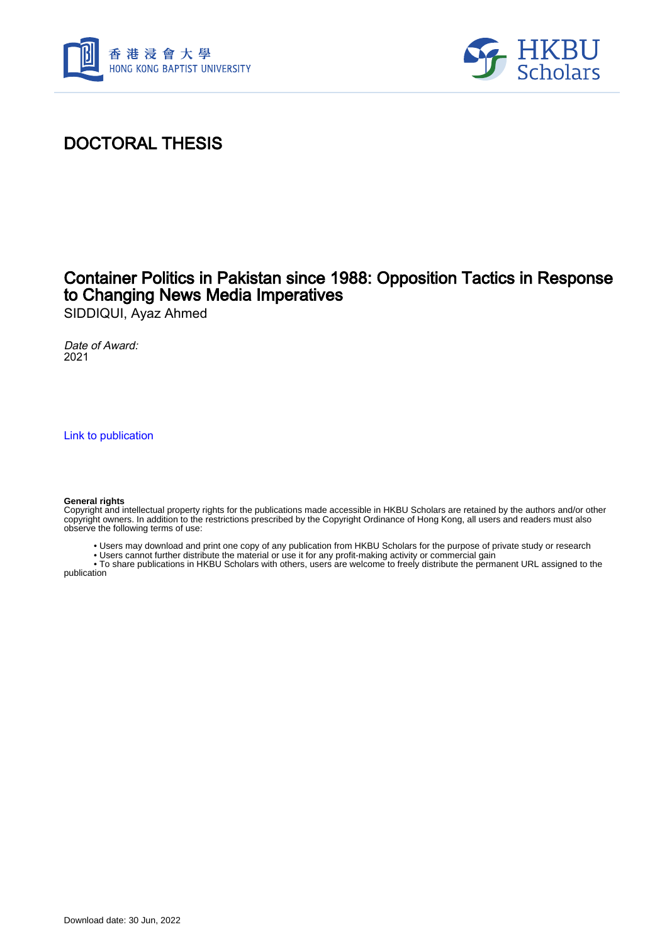



## DOCTORAL THESIS

### Container Politics in Pakistan since 1988: Opposition Tactics in Response to Changing News Media Imperatives

SIDDIQUI, Ayaz Ahmed

Date of Award: 2021

[Link to publication](https://scholars.hkbu.edu.hk/en/studentTheses/0469e8e0-617b-46d0-acd0-a5f021c27475)

#### **General rights**

Copyright and intellectual property rights for the publications made accessible in HKBU Scholars are retained by the authors and/or other copyright owners. In addition to the restrictions prescribed by the Copyright Ordinance of Hong Kong, all users and readers must also observe the following terms of use:

- Users may download and print one copy of any publication from HKBU Scholars for the purpose of private study or research
- Users cannot further distribute the material or use it for any profit-making activity or commercial gain

 • To share publications in HKBU Scholars with others, users are welcome to freely distribute the permanent URL assigned to the publication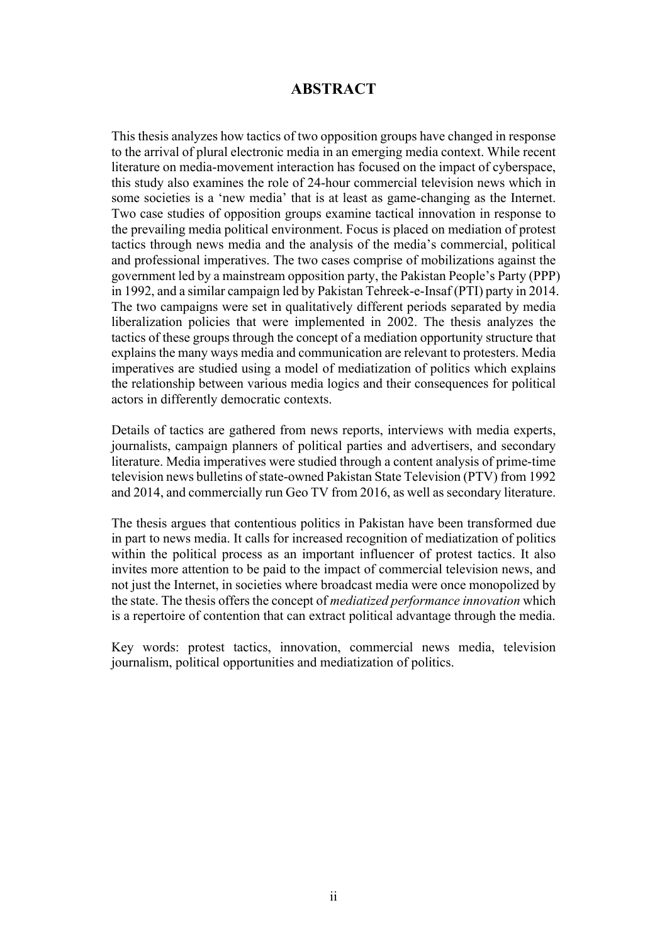### **ABSTRACT**

This thesis analyzes how tactics of two opposition groups have changed in response to the arrival of plural electronic media in an emerging media context. While recent literature on media-movement interaction has focused on the impact of cyberspace, this study also examines the role of 24-hour commercial television news which in some societies is a 'new media' that is at least as game-changing as the Internet. Two case studies of opposition groups examine tactical innovation in response to the prevailing media political environment. Focus is placed on mediation of protest tactics through news media and the analysis of the media's commercial, political and professional imperatives. The two cases comprise of mobilizations against the government led by a mainstream opposition party, the Pakistan People's Party (PPP) in 1992, and a similar campaign led by Pakistan Tehreek-e-Insaf (PTI) party in 2014. The two campaigns were set in qualitatively different periods separated by media liberalization policies that were implemented in 2002. The thesis analyzes the tactics of these groups through the concept of a mediation opportunity structure that explains the many ways media and communication are relevant to protesters. Media imperatives are studied using a model of mediatization of politics which explains the relationship between various media logics and their consequences for political actors in differently democratic contexts.

Details of tactics are gathered from news reports, interviews with media experts, journalists, campaign planners of political parties and advertisers, and secondary literature. Media imperatives were studied through a content analysis of prime-time television news bulletins of state-owned Pakistan State Television (PTV) from 1992 and 2014, and commercially run Geo TV from 2016, as well as secondary literature.

The thesis argues that contentious politics in Pakistan have been transformed due in part to news media. It calls for increased recognition of mediatization of politics within the political process as an important influencer of protest tactics. It also invites more attention to be paid to the impact of commercial television news, and not just the Internet, in societies where broadcast media were once monopolized by the state. The thesis offers the concept of *mediatized performance innovation* which is a repertoire of contention that can extract political advantage through the media.

Key words: protest tactics, innovation, commercial news media, television journalism, political opportunities and mediatization of politics.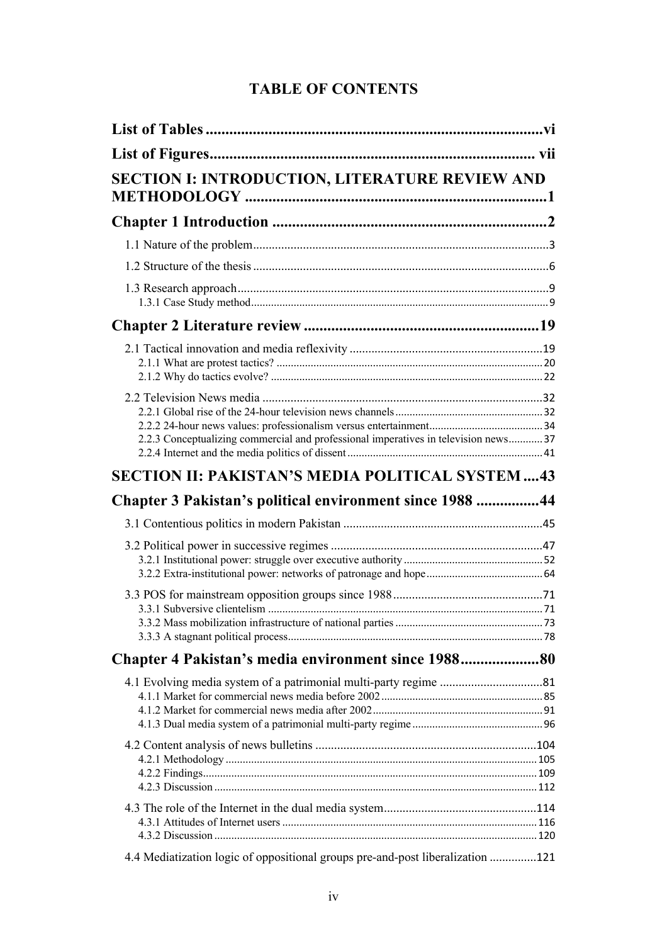### **TABLE OF CONTENTS**

| <b>SECTION I: INTRODUCTION, LITERATURE REVIEW AND</b>                               |  |
|-------------------------------------------------------------------------------------|--|
|                                                                                     |  |
|                                                                                     |  |
|                                                                                     |  |
|                                                                                     |  |
|                                                                                     |  |
|                                                                                     |  |
| 2.2.3 Conceptualizing commercial and professional imperatives in television news 37 |  |
| <b>SECTION II: PAKISTAN'S MEDIA POLITICAL SYSTEM 43</b>                             |  |
| Chapter 3 Pakistan's political environment since 1988 44                            |  |
|                                                                                     |  |
|                                                                                     |  |
|                                                                                     |  |
| Chapter 4 Pakistan's media environment since 198880                                 |  |
|                                                                                     |  |
|                                                                                     |  |
|                                                                                     |  |
| 4.4 Mediatization logic of oppositional groups pre-and-post liberalization 121      |  |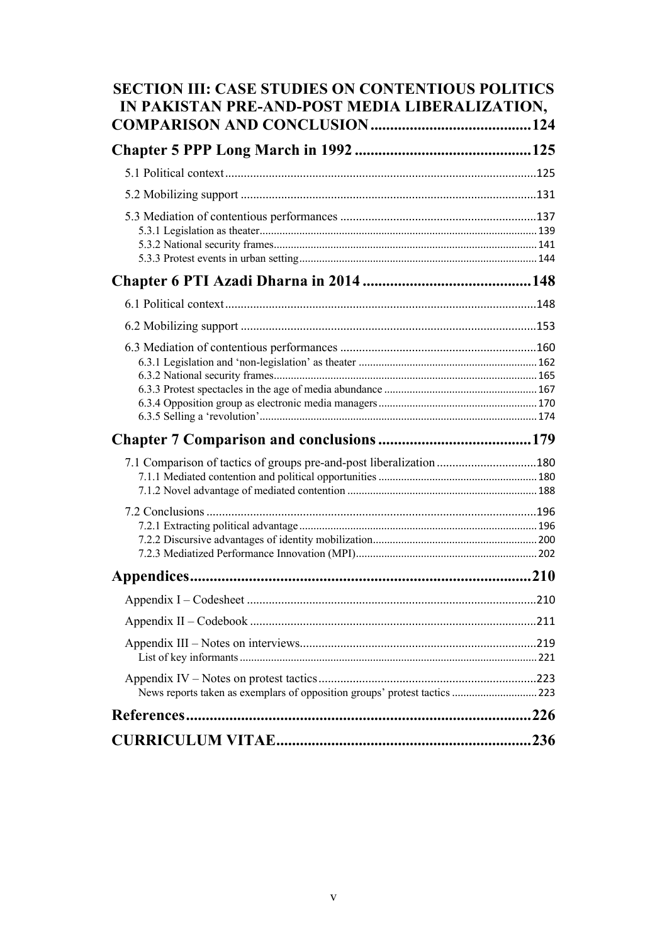| <b>SECTION III: CASE STUDIES ON CONTENTIOUS POLITICS</b><br>IN PAKISTAN PRE-AND-POST MEDIA LIBERALIZATION, |  |
|------------------------------------------------------------------------------------------------------------|--|
|                                                                                                            |  |
|                                                                                                            |  |
|                                                                                                            |  |
|                                                                                                            |  |
|                                                                                                            |  |
|                                                                                                            |  |
|                                                                                                            |  |
|                                                                                                            |  |
|                                                                                                            |  |
|                                                                                                            |  |
| 7.1 Comparison of tactics of groups pre-and-post liberalization 180                                        |  |
|                                                                                                            |  |
|                                                                                                            |  |
| Appendices.                                                                                                |  |
|                                                                                                            |  |
|                                                                                                            |  |
|                                                                                                            |  |
| News reports taken as exemplars of opposition groups' protest tactics  223                                 |  |
|                                                                                                            |  |
|                                                                                                            |  |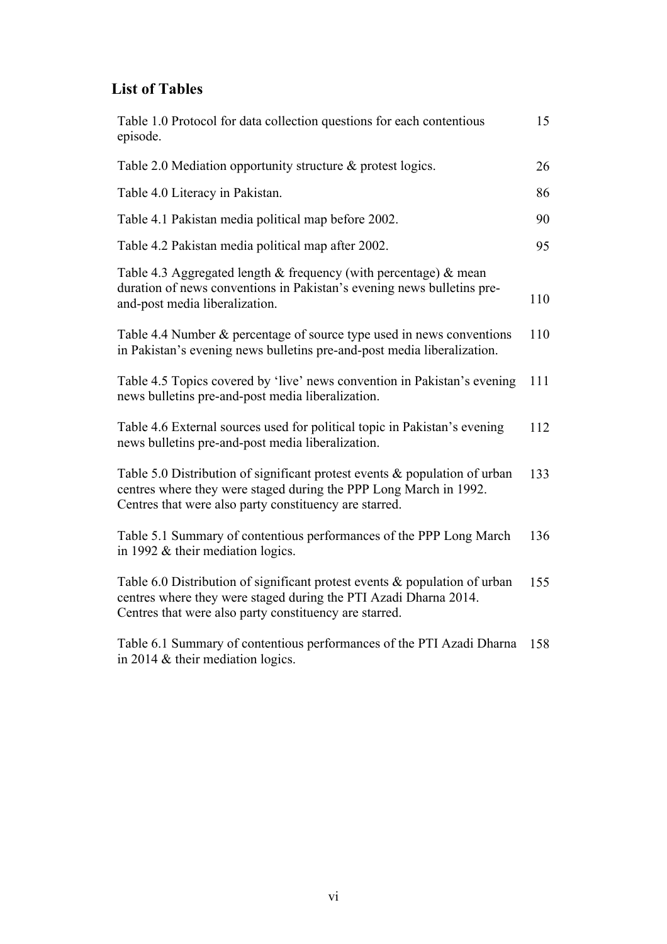### **List of Tables**

| Table 1.0 Protocol for data collection questions for each contentious<br>episode.                                                                                                                            | 15  |
|--------------------------------------------------------------------------------------------------------------------------------------------------------------------------------------------------------------|-----|
| Table 2.0 Mediation opportunity structure & protest logics.                                                                                                                                                  | 26  |
| Table 4.0 Literacy in Pakistan.                                                                                                                                                                              | 86  |
| Table 4.1 Pakistan media political map before 2002.                                                                                                                                                          | 90  |
| Table 4.2 Pakistan media political map after 2002.                                                                                                                                                           | 95  |
| Table 4.3 Aggregated length $&$ frequency (with percentage) $&$ mean<br>duration of news conventions in Pakistan's evening news bulletins pre-<br>and-post media liberalization.                             | 110 |
| Table 4.4 Number & percentage of source type used in news conventions<br>in Pakistan's evening news bulletins pre-and-post media liberalization.                                                             | 110 |
| Table 4.5 Topics covered by 'live' news convention in Pakistan's evening<br>news bulletins pre-and-post media liberalization.                                                                                | 111 |
| Table 4.6 External sources used for political topic in Pakistan's evening<br>news bulletins pre-and-post media liberalization.                                                                               | 112 |
| Table 5.0 Distribution of significant protest events $\&$ population of urban<br>centres where they were staged during the PPP Long March in 1992.<br>Centres that were also party constituency are starred. | 133 |
| Table 5.1 Summary of contentious performances of the PPP Long March<br>in 1992 $&$ their mediation logics.                                                                                                   | 136 |
| Table 6.0 Distribution of significant protest events $\&$ population of urban<br>centres where they were staged during the PTI Azadi Dharna 2014.<br>Centres that were also party constituency are starred.  | 155 |
| Table 6.1 Summary of contentious performances of the PTI Azadi Dharna<br>in 2014 $&$ their mediation logics.                                                                                                 | 158 |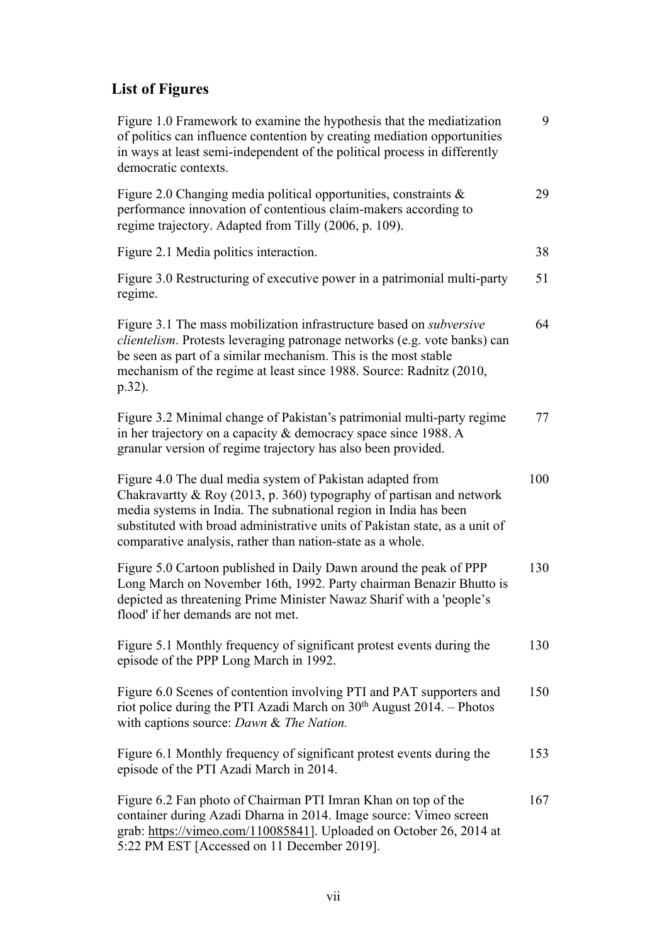# **List of Figures**

| Figure 1.0 Framework to examine the hypothesis that the mediatization<br>of politics can influence contention by creating mediation opportunities<br>in ways at least semi-independent of the political process in differently<br>democratic contexts.                                                                                             | 9   |
|----------------------------------------------------------------------------------------------------------------------------------------------------------------------------------------------------------------------------------------------------------------------------------------------------------------------------------------------------|-----|
| Figure 2.0 Changing media political opportunities, constraints &<br>performance innovation of contentious claim-makers according to<br>regime trajectory. Adapted from Tilly (2006, p. 109).                                                                                                                                                       | 29  |
| Figure 2.1 Media politics interaction.                                                                                                                                                                                                                                                                                                             | 38  |
| Figure 3.0 Restructuring of executive power in a patrimonial multi-party<br>regime.                                                                                                                                                                                                                                                                | 51  |
| Figure 3.1 The mass mobilization infrastructure based on <i>subversive</i><br>clientelism. Protests leveraging patronage networks (e.g. vote banks) can<br>be seen as part of a similar mechanism. This is the most stable<br>mechanism of the regime at least since 1988. Source: Radnitz (2010,<br>$p.32$ ).                                     | 64  |
| Figure 3.2 Minimal change of Pakistan's patrimonial multi-party regime<br>in her trajectory on a capacity & democracy space since 1988. A<br>granular version of regime trajectory has also been provided.                                                                                                                                         | 77  |
| Figure 4.0 The dual media system of Pakistan adapted from<br>Chakravartty & Roy (2013, p. 360) typography of partisan and network<br>media systems in India. The subnational region in India has been<br>substituted with broad administrative units of Pakistan state, as a unit of<br>comparative analysis, rather than nation-state as a whole. | 100 |
| Figure 5.0 Cartoon published in Daily Dawn around the peak of PPP<br>Long March on November 16th, 1992. Party chairman Benazir Bhutto is<br>depicted as threatening Prime Minister Nawaz Sharif with a 'people's<br>flood' if her demands are not met.                                                                                             | 130 |
| Figure 5.1 Monthly frequency of significant protest events during the<br>episode of the PPP Long March in 1992.                                                                                                                                                                                                                                    | 130 |
| Figure 6.0 Scenes of contention involving PTI and PAT supporters and<br>riot police during the PTI Azadi March on 30 <sup>th</sup> August 2014. – Photos<br>with captions source: Dawn & The Nation.                                                                                                                                               | 150 |
| Figure 6.1 Monthly frequency of significant protest events during the<br>episode of the PTI Azadi March in 2014.                                                                                                                                                                                                                                   | 153 |
| Figure 6.2 Fan photo of Chairman PTI Imran Khan on top of the<br>container during Azadi Dharna in 2014. Image source: Vimeo screen<br>grab: https://vimeo.com/110085841]. Uploaded on October 26, 2014 at<br>5:22 PM EST [Accessed on 11 December 2019].                                                                                           | 167 |